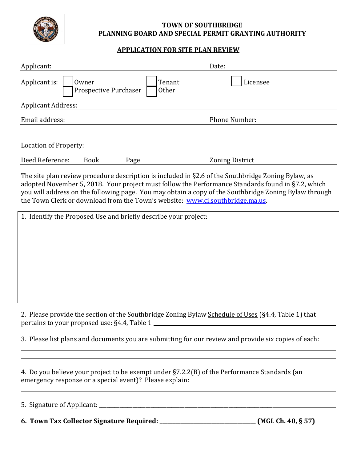

## **TOWN OF SOUTHBRIDGE PLANNING BOARD AND SPECIAL PERMIT GRANTING AUTHORITY**

## **APPLICATION FOR SITE PLAN REVIEW**

| Applicant:                                                         | Date:                  |  |
|--------------------------------------------------------------------|------------------------|--|
| Applicant is:<br>Tenant<br>Owner<br>Prospective Purchaser<br>Other | Licensee               |  |
| <b>Applicant Address:</b>                                          |                        |  |
| Email address:                                                     | <b>Phone Number:</b>   |  |
| Location of Property:                                              |                        |  |
| Deed Reference:<br><b>Book</b><br>Page                             | <b>Zoning District</b> |  |

The site plan review procedure description is included in §2.6 of the Southbridge Zoning Bylaw, as adopted November 5, 2018. Your project must follow the Performance Standards found in §7.2, which you will address on the following page. You may obtain a copy of the Southbridge Zoning Bylaw through the Town Clerk or download from the Town's website: [www.ci.southbridge.ma.us.](http://www.ci.southbridge.ma.us/)

| 1. Identify the Proposed Use and briefly describe your project:                                                                                     |
|-----------------------------------------------------------------------------------------------------------------------------------------------------|
|                                                                                                                                                     |
|                                                                                                                                                     |
|                                                                                                                                                     |
|                                                                                                                                                     |
|                                                                                                                                                     |
|                                                                                                                                                     |
|                                                                                                                                                     |
|                                                                                                                                                     |
|                                                                                                                                                     |
| 2. Please provide the section of the Southbridge Zoning Bylaw Schedule of Uses (§4.4, Table 1) that<br>pertains to your proposed use: §4.4, Table 1 |
|                                                                                                                                                     |
| 3. Please list plans and documents you are submitting for our review and provide six copies of each:                                                |
|                                                                                                                                                     |
|                                                                                                                                                     |

4. Do you believe your project to be exempt under §7.2.2(B) of the Performance Standards (an emergency response or a special event)? Please explain: \_\_\_\_\_\_\_\_\_\_\_\_\_\_\_\_\_\_\_\_\_\_\_\_\_

| 5. Signature of Applicant:                |                    |
|-------------------------------------------|--------------------|
| 6. Town Tax Collector Signature Required: | (MGL Ch. 40, § 57) |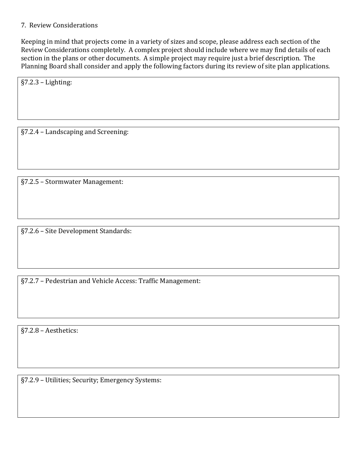## 7. Review Considerations

Keeping in mind that projects come in a variety of sizes and scope, please address each section of the Review Considerations completely. A complex project should include where we may find details of each section in the plans or other documents. A simple project may require just a brief description. The Planning Board shall consider and apply the following factors during its review of site plan applications.

§7.2.3 – Lighting:

§7.2.4 – Landscaping and Screening:

§7.2.5 – Stormwater Management:

§7.2.6 – Site Development Standards:

§7.2.7 – Pedestrian and Vehicle Access: Traffic Management:

§7.2.8 – Aesthetics:

§7.2.9 – Utilities; Security; Emergency Systems: